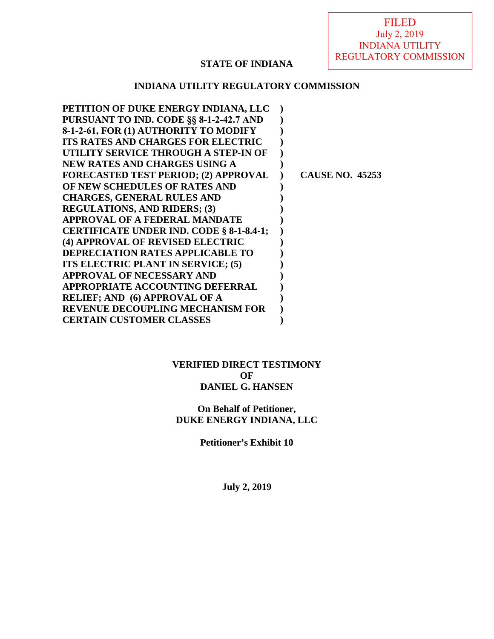## **STATE OF INDIANA**

## **INDIANA UTILITY REGULATORY COMMISSION**

| PETITION OF DUKE ENERGY INDIANA, LLC        |                        |
|---------------------------------------------|------------------------|
| PURSUANT TO IND. CODE §§ 8-1-2-42.7 AND     |                        |
| 8-1-2-61, FOR (1) AUTHORITY TO MODIFY       |                        |
| <b>ITS RATES AND CHARGES FOR ELECTRIC</b>   |                        |
| UTILITY SERVICE THROUGH A STEP-IN OF        |                        |
| <b>NEW RATES AND CHARGES USING A</b>        |                        |
| <b>FORECASTED TEST PERIOD; (2) APPROVAL</b> | <b>CAUSE NO. 45253</b> |
| OF NEW SCHEDULES OF RATES AND               |                        |
| <b>CHARGES, GENERAL RULES AND</b>           |                        |
| <b>REGULATIONS, AND RIDERS; (3)</b>         |                        |
| APPROVAL OF A FEDERAL MANDATE               |                        |
| CERTIFICATE UNDER IND. CODE § 8-1-8.4-1;    |                        |
| (4) APPROVAL OF REVISED ELECTRIC            |                        |
| <b>DEPRECIATION RATES APPLICABLE TO</b>     |                        |
| ITS ELECTRIC PLANT IN SERVICE; (5)          |                        |
| <b>APPROVAL OF NECESSARY AND</b>            |                        |
| <b>APPROPRIATE ACCOUNTING DEFERRAL</b>      |                        |
| <b>RELIEF; AND (6) APPROVAL OF A</b>        |                        |
| <b>REVENUE DECOUPLING MECHANISM FOR</b>     |                        |
| <b>CERTAIN CUSTOMER CLASSES</b>             |                        |
|                                             |                        |

## **VERIFIED DIRECT TESTIMONY OF DANIEL G. HANSEN**

## **On Behalf of Petitioner, DUKE ENERGY INDIANA, LLC**

**Petitioner's Exhibit 10**

**July 2, 2019**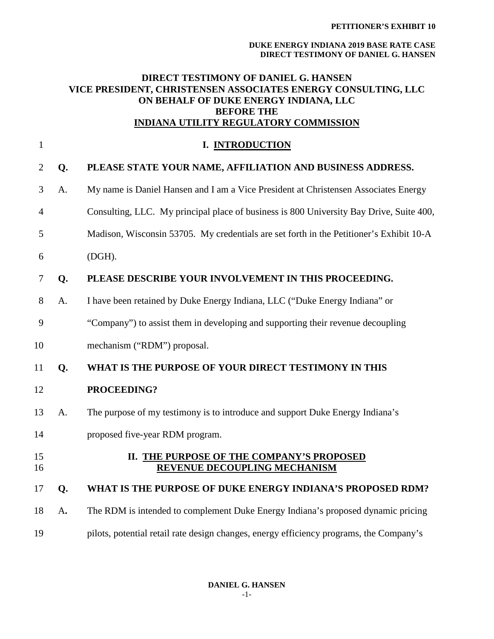#### **DUKE ENERGY INDIANA 2019 BASE RATE CASE DIRECT TESTIMONY OF DANIEL G. HANSEN**

## **DIRECT TESTIMONY OF DANIEL G. HANSEN VICE PRESIDENT, CHRISTENSEN ASSOCIATES ENERGY CONSULTING, LLC ON BEHALF OF DUKE ENERGY INDIANA, LLC BEFORE THE INDIANA UTILITY REGULATORY COMMISSION**

| $\mathbf{1}$   |    | I. INTRODUCTION                                                                         |
|----------------|----|-----------------------------------------------------------------------------------------|
| $\overline{2}$ | Q. | PLEASE STATE YOUR NAME, AFFILIATION AND BUSINESS ADDRESS.                               |
| 3              | A. | My name is Daniel Hansen and I am a Vice President at Christensen Associates Energy     |
| 4              |    | Consulting, LLC. My principal place of business is 800 University Bay Drive, Suite 400, |
| 5              |    | Madison, Wisconsin 53705. My credentials are set forth in the Petitioner's Exhibit 10-A |
| 6              |    | (DGH).                                                                                  |
| 7              | Q. | PLEASE DESCRIBE YOUR INVOLVEMENT IN THIS PROCEEDING.                                    |
| 8              | A. | I have been retained by Duke Energy Indiana, LLC ("Duke Energy Indiana" or              |
| 9              |    | "Company") to assist them in developing and supporting their revenue decoupling         |
| 10             |    | mechanism ("RDM") proposal.                                                             |
| 11             | Q. | WHAT IS THE PURPOSE OF YOUR DIRECT TESTIMONY IN THIS                                    |
| 12             |    | PROCEEDING?                                                                             |
| 13             | A. | The purpose of my testimony is to introduce and support Duke Energy Indiana's           |
| 14             |    | proposed five-year RDM program.                                                         |
| 15<br>16       |    | II. THE PURPOSE OF THE COMPANY'S PROPOSED<br>REVENUE DECOUPLING MECHANISM               |
| 17             | Q. | WHAT IS THE PURPOSE OF DUKE ENERGY INDIANA'S PROPOSED RDM?                              |
| 18             | A. | The RDM is intended to complement Duke Energy Indiana's proposed dynamic pricing        |
| 19             |    | pilots, potential retail rate design changes, energy efficiency programs, the Company's |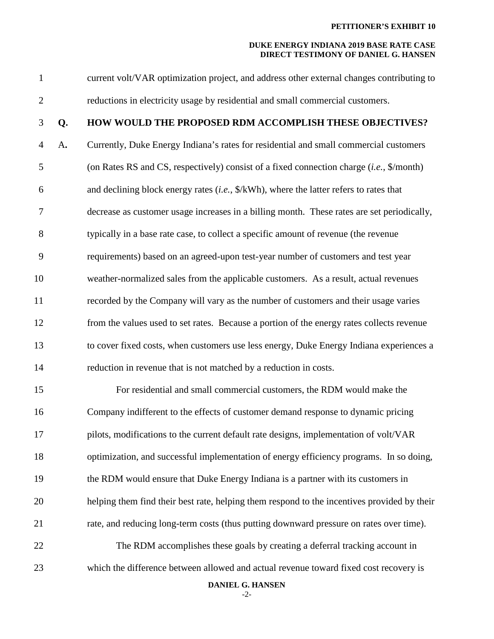#### **DUKE ENERGY INDIANA 2019 BASE RATE CASE DIRECT TESTIMONY OF DANIEL G. HANSEN**

| $\mathbf{1}$   |               | current volt/VAR optimization project, and address other external changes contributing to             |
|----------------|---------------|-------------------------------------------------------------------------------------------------------|
| 2              |               | reductions in electricity usage by residential and small commercial customers.                        |
| 3              | Q.            | <b>HOW WOULD THE PROPOSED RDM ACCOMPLISH THESE OBJECTIVES?</b>                                        |
| $\overline{4}$ | $A_{\bullet}$ | Currently, Duke Energy Indiana's rates for residential and small commercial customers                 |
| 5              |               | (on Rates RS and CS, respectively) consist of a fixed connection charge $(i.e., \frac{6}{2}$ ) month) |
| 6              |               | and declining block energy rates $(i.e., $/kWh)$ , where the latter refers to rates that              |

7 decrease as customer usage increases in a billing month. These rates are set periodically,

8 typically in a base rate case, to collect a specific amount of revenue (the revenue

9 requirements) based on an agreed-upon test-year number of customers and test year

10 weather-normalized sales from the applicable customers. As a result, actual revenues

11 recorded by the Company will vary as the number of customers and their usage varies

12 from the values used to set rates. Because a portion of the energy rates collects revenue

13 to cover fixed costs, when customers use less energy, Duke Energy Indiana experiences a

14 reduction in revenue that is not matched by a reduction in costs.

15 For residential and small commercial customers, the RDM would make the 16 Company indifferent to the effects of customer demand response to dynamic pricing 17 pilots, modifications to the current default rate designs, implementation of volt/VAR 18 optimization, and successful implementation of energy efficiency programs. In so doing, 19 the RDM would ensure that Duke Energy Indiana is a partner with its customers in 20 helping them find their best rate, helping them respond to the incentives provided by their 21 rate, and reducing long-term costs (thus putting downward pressure on rates over time). 22 The RDM accomplishes these goals by creating a deferral tracking account in

23 which the difference between allowed and actual revenue toward fixed cost recovery is

**DANIEL G. HANSEN**

-2-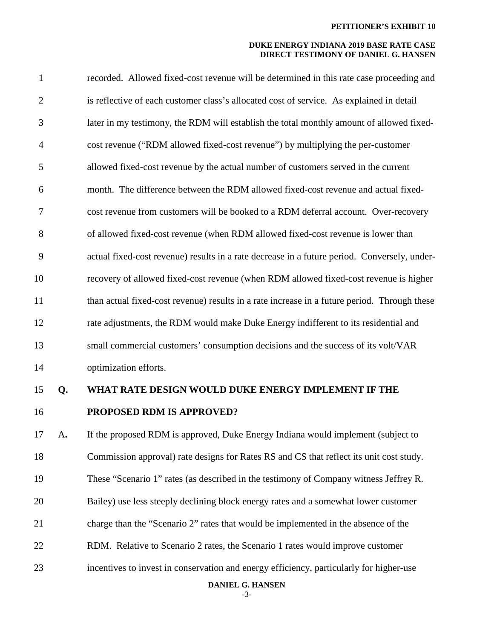#### **DUKE ENERGY INDIANA 2019 BASE RATE CASE DIRECT TESTIMONY OF DANIEL G. HANSEN**

| $\mathbf{1}$   |               | recorded. Allowed fixed-cost revenue will be determined in this rate case proceeding and     |
|----------------|---------------|----------------------------------------------------------------------------------------------|
| $\overline{2}$ |               | is reflective of each customer class's allocated cost of service. As explained in detail     |
| 3              |               | later in my testimony, the RDM will establish the total monthly amount of allowed fixed-     |
| $\overline{4}$ |               | cost revenue ("RDM allowed fixed-cost revenue") by multiplying the per-customer              |
| 5              |               | allowed fixed-cost revenue by the actual number of customers served in the current           |
| 6              |               | month. The difference between the RDM allowed fixed-cost revenue and actual fixed-           |
| 7              |               | cost revenue from customers will be booked to a RDM deferral account. Over-recovery          |
| 8              |               | of allowed fixed-cost revenue (when RDM allowed fixed-cost revenue is lower than             |
| 9              |               | actual fixed-cost revenue) results in a rate decrease in a future period. Conversely, under- |
| 10             |               | recovery of allowed fixed-cost revenue (when RDM allowed fixed-cost revenue is higher        |
| 11             |               | than actual fixed-cost revenue) results in a rate increase in a future period. Through these |
| 12             |               | rate adjustments, the RDM would make Duke Energy indifferent to its residential and          |
| 13             |               | small commercial customers' consumption decisions and the success of its volt/VAR            |
| 14             |               | optimization efforts.                                                                        |
| 15             | Q.            | WHAT RATE DESIGN WOULD DUKE ENERGY IMPLEMENT IF THE                                          |
| 16             |               | PROPOSED RDM IS APPROVED?                                                                    |
| 17             | $A_{\bullet}$ | If the proposed RDM is approved, Duke Energy Indiana would implement (subject to             |
| 18             |               | Commission approval) rate designs for Rates RS and CS that reflect its unit cost study.      |
| 19             |               | These "Scenario 1" rates (as described in the testimony of Company witness Jeffrey R.        |
| 20             |               | Bailey) use less steeply declining block energy rates and a somewhat lower customer          |
| 21             |               | charge than the "Scenario 2" rates that would be implemented in the absence of the           |
|                |               |                                                                                              |

- 22 RDM. Relative to Scenario 2 rates, the Scenario 1 rates would improve customer
- 23 incentives to invest in conservation and energy efficiency, particularly for higher-use

**DANIEL G. HANSEN**

-3-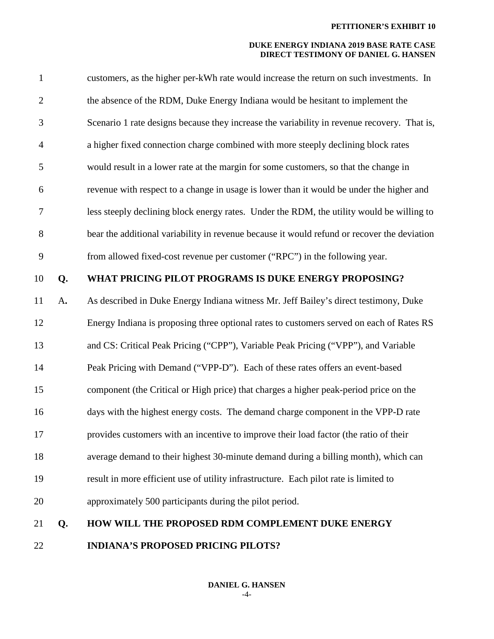#### **DUKE ENERGY INDIANA 2019 BASE RATE CASE DIRECT TESTIMONY OF DANIEL G. HANSEN**

| $\mathbf{1}$   |               | customers, as the higher per-kWh rate would increase the return on such investments. In     |
|----------------|---------------|---------------------------------------------------------------------------------------------|
| $\overline{2}$ |               | the absence of the RDM, Duke Energy Indiana would be hesitant to implement the              |
| 3              |               | Scenario 1 rate designs because they increase the variability in revenue recovery. That is, |
| $\overline{4}$ |               | a higher fixed connection charge combined with more steeply declining block rates           |
| 5              |               | would result in a lower rate at the margin for some customers, so that the change in        |
| 6              |               | revenue with respect to a change in usage is lower than it would be under the higher and    |
| $\tau$         |               | less steeply declining block energy rates. Under the RDM, the utility would be willing to   |
| 8              |               | bear the additional variability in revenue because it would refund or recover the deviation |
| 9              |               | from allowed fixed-cost revenue per customer ("RPC") in the following year.                 |
| 10             | Q.            | WHAT PRICING PILOT PROGRAMS IS DUKE ENERGY PROPOSING?                                       |
| 11             | $A_{\bullet}$ | As described in Duke Energy Indiana witness Mr. Jeff Bailey's direct testimony, Duke        |
| 12             |               | Energy Indiana is proposing three optional rates to customers served on each of Rates RS    |
| 13             |               | and CS: Critical Peak Pricing ("CPP"), Variable Peak Pricing ("VPP"), and Variable          |
| 14             |               | Peak Pricing with Demand ("VPP-D"). Each of these rates offers an event-based               |
| 15             |               | component (the Critical or High price) that charges a higher peak-period price on the       |
| 16             |               | days with the highest energy costs. The demand charge component in the VPP-D rate           |
| 17             |               | provides customers with an incentive to improve their load factor (the ratio of their       |
| 18             |               | average demand to their highest 30-minute demand during a billing month), which can         |
| 19             |               | result in more efficient use of utility infrastructure. Each pilot rate is limited to       |
| 20             |               | approximately 500 participants during the pilot period.                                     |
| 21             | Q.            | HOW WILL THE PROPOSED RDM COMPLEMENT DUKE ENERGY                                            |
| 22             |               | <b>INDIANA'S PROPOSED PRICING PILOTS?</b>                                                   |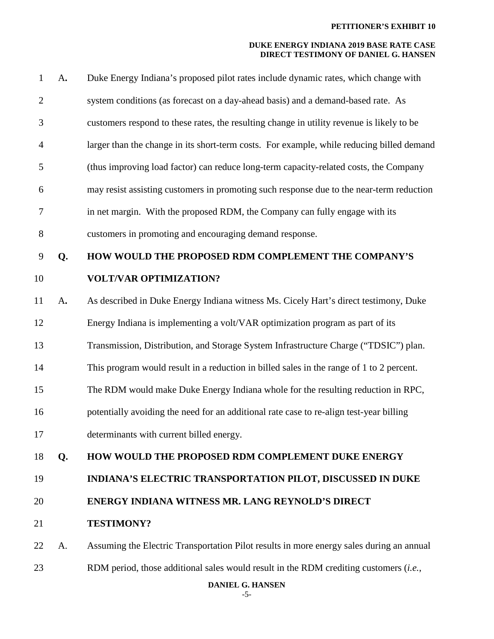#### **DUKE ENERGY INDIANA 2019 BASE RATE CASE DIRECT TESTIMONY OF DANIEL G. HANSEN**

| 1              | A. | Duke Energy Indiana's proposed pilot rates include dynamic rates, which change with       |
|----------------|----|-------------------------------------------------------------------------------------------|
| $\overline{2}$ |    | system conditions (as forecast on a day-ahead basis) and a demand-based rate. As          |
| 3              |    | customers respond to these rates, the resulting change in utility revenue is likely to be |
| 4              |    | larger than the change in its short-term costs. For example, while reducing billed demand |
| 5              |    | (thus improving load factor) can reduce long-term capacity-related costs, the Company     |
| 6              |    | may resist assisting customers in promoting such response due to the near-term reduction  |
| 7              |    | in net margin. With the proposed RDM, the Company can fully engage with its               |
| $8\,$          |    | customers in promoting and encouraging demand response.                                   |
| 9              | Q. | HOW WOULD THE PROPOSED RDM COMPLEMENT THE COMPANY'S                                       |
| 10             |    | <b>VOLT/VAR OPTIMIZATION?</b>                                                             |
| 11             | A. | As described in Duke Energy Indiana witness Ms. Cicely Hart's direct testimony, Duke      |
| 12             |    | Energy Indiana is implementing a volt/VAR optimization program as part of its             |
| 13             |    | Transmission, Distribution, and Storage System Infrastructure Charge ("TDSIC") plan.      |
| 14             |    | This program would result in a reduction in billed sales in the range of 1 to 2 percent.  |
| 15             |    | The RDM would make Duke Energy Indiana whole for the resulting reduction in RPC,          |
| 16             |    | potentially avoiding the need for an additional rate case to re-align test-year billing   |
| 17             |    | determinants with current billed energy.                                                  |
| 18             | Q. | HOW WOULD THE PROPOSED RDM COMPLEMENT DUKE ENERGY                                         |
| 19             |    | INDIANA'S ELECTRIC TRANSPORTATION PILOT, DISCUSSED IN DUKE                                |
| 20             |    | ENERGY INDIANA WITNESS MR. LANG REYNOLD'S DIRECT                                          |
| 21             |    | <b>TESTIMONY?</b>                                                                         |
| 22             | A. | Assuming the Electric Transportation Pilot results in more energy sales during an annual  |
| 23             |    | RDM period, those additional sales would result in the RDM crediting customers (i.e.,     |
|                |    | DANIEL G. HANSEN                                                                          |

-5-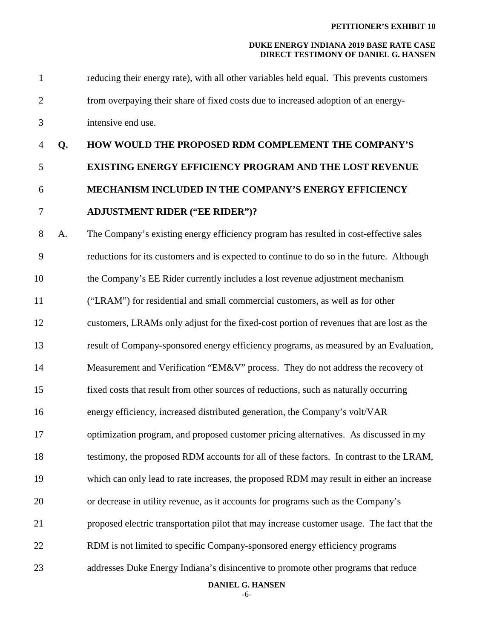#### **DUKE ENERGY INDIANA 2019 BASE RATE CASE DIRECT TESTIMONY OF DANIEL G. HANSEN**

| $\mathbf{1}$     |    | reducing their energy rate), with all other variables held equal. This prevents customers  |
|------------------|----|--------------------------------------------------------------------------------------------|
| $\overline{2}$   |    | from overpaying their share of fixed costs due to increased adoption of an energy-         |
| 3                |    | intensive end use.                                                                         |
| $\overline{4}$   | Q. | HOW WOULD THE PROPOSED RDM COMPLEMENT THE COMPANY'S                                        |
| 5                |    | <b>EXISTING ENERGY EFFICIENCY PROGRAM AND THE LOST REVENUE</b>                             |
| 6                |    | MECHANISM INCLUDED IN THE COMPANY'S ENERGY EFFICIENCY                                      |
| $\boldsymbol{7}$ |    | <b>ADJUSTMENT RIDER ("EE RIDER")?</b>                                                      |
| $8\phantom{1}$   | A. | The Company's existing energy efficiency program has resulted in cost-effective sales      |
| $\overline{9}$   |    | reductions for its customers and is expected to continue to do so in the future. Although  |
| 10               |    | the Company's EE Rider currently includes a lost revenue adjustment mechanism              |
| 11               |    | ("LRAM") for residential and small commercial customers, as well as for other              |
| 12               |    | customers, LRAMs only adjust for the fixed-cost portion of revenues that are lost as the   |
| 13               |    | result of Company-sponsored energy efficiency programs, as measured by an Evaluation,      |
| 14               |    | Measurement and Verification "EM&V" process. They do not address the recovery of           |
| 15               |    | fixed costs that result from other sources of reductions, such as naturally occurring      |
| 16               |    | energy efficiency, increased distributed generation, the Company's volt/VAR                |
| 17               |    | optimization program, and proposed customer pricing alternatives. As discussed in my       |
| 18               |    | testimony, the proposed RDM accounts for all of these factors. In contrast to the LRAM,    |
| 19               |    | which can only lead to rate increases, the proposed RDM may result in either an increase   |
| 20               |    | or decrease in utility revenue, as it accounts for programs such as the Company's          |
| 21               |    | proposed electric transportation pilot that may increase customer usage. The fact that the |
| 22               |    | RDM is not limited to specific Company-sponsored energy efficiency programs                |
| 23               |    | addresses Duke Energy Indiana's disincentive to promote other programs that reduce         |
|                  |    | DANIEL G. HANSEN                                                                           |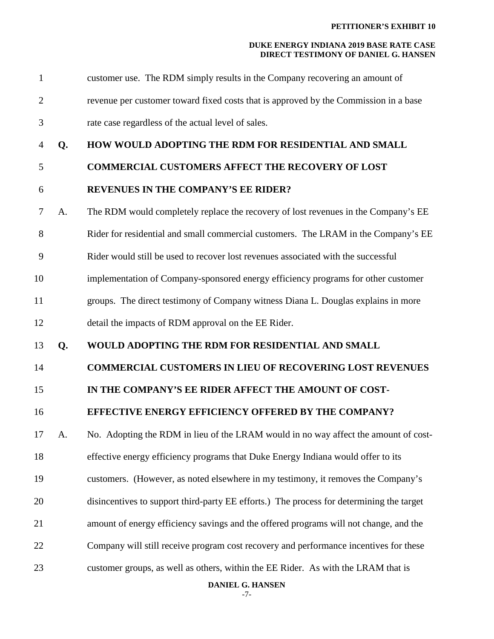#### **DUKE ENERGY INDIANA 2019 BASE RATE CASE DIRECT TESTIMONY OF DANIEL G. HANSEN**

**DANIEL G. HANSEN** 1 customer use. The RDM simply results in the Company recovering an amount of 2 revenue per customer toward fixed costs that is approved by the Commission in a base 3 rate case regardless of the actual level of sales. 4 **Q. HOW WOULD ADOPTING THE RDM FOR RESIDENTIAL AND SMALL**  5 **COMMERCIAL CUSTOMERS AFFECT THE RECOVERY OF LOST**  6 **REVENUES IN THE COMPANY'S EE RIDER?** 7 A. The RDM would completely replace the recovery of lost revenues in the Company's EE 8 Rider for residential and small commercial customers. The LRAM in the Company's EE 9 Rider would still be used to recover lost revenues associated with the successful 10 implementation of Company-sponsored energy efficiency programs for other customer 11 groups. The direct testimony of Company witness Diana L. Douglas explains in more 12 detail the impacts of RDM approval on the EE Rider. 13 **Q. WOULD ADOPTING THE RDM FOR RESIDENTIAL AND SMALL**  14 **COMMERCIAL CUSTOMERS IN LIEU OF RECOVERING LOST REVENUES**  15 **IN THE COMPANY'S EE RIDER AFFECT THE AMOUNT OF COST-**16 **EFFECTIVE ENERGY EFFICIENCY OFFERED BY THE COMPANY?**  17 A. No. Adopting the RDM in lieu of the LRAM would in no way affect the amount of cost-18 effective energy efficiency programs that Duke Energy Indiana would offer to its 19 customers. (However, as noted elsewhere in my testimony, it removes the Company's 20 disincentives to support third-party EE efforts.) The process for determining the target 21 amount of energy efficiency savings and the offered programs will not change, and the 22 Company will still receive program cost recovery and performance incentives for these 23 customer groups, as well as others, within the EE Rider. As with the LRAM that is

-7-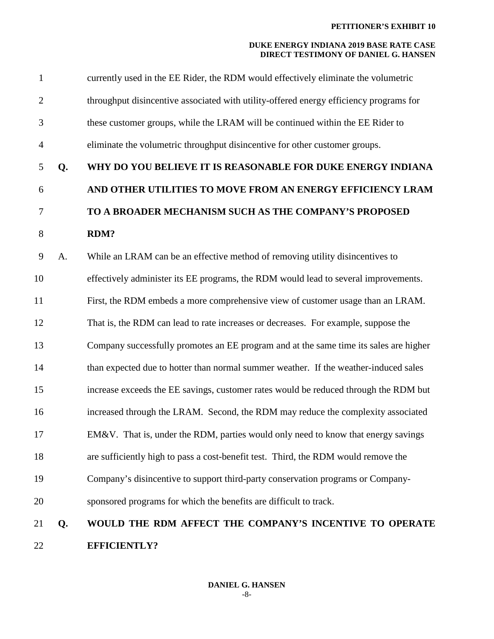#### **DUKE ENERGY INDIANA 2019 BASE RATE CASE DIRECT TESTIMONY OF DANIEL G. HANSEN**

| $\mathbf{1}$   |    | currently used in the EE Rider, the RDM would effectively eliminate the volumetric     |
|----------------|----|----------------------------------------------------------------------------------------|
| $\overline{c}$ |    | throughput disincentive associated with utility-offered energy efficiency programs for |
| 3              |    | these customer groups, while the LRAM will be continued within the EE Rider to         |
| $\overline{4}$ |    | eliminate the volumetric throughput disincentive for other customer groups.            |
| 5              | Q. | WHY DO YOU BELIEVE IT IS REASONABLE FOR DUKE ENERGY INDIANA                            |
| 6              |    | AND OTHER UTILITIES TO MOVE FROM AN ENERGY EFFICIENCY LRAM                             |
| $\tau$         |    | TO A BROADER MECHANISM SUCH AS THE COMPANY'S PROPOSED                                  |
| 8              |    | RDM?                                                                                   |
| 9              | A. | While an LRAM can be an effective method of removing utility disincentives to          |
| 10             |    | effectively administer its EE programs, the RDM would lead to several improvements.    |
| 11             |    | First, the RDM embeds a more comprehensive view of customer usage than an LRAM.        |
| 12             |    | That is, the RDM can lead to rate increases or decreases. For example, suppose the     |
| 13             |    | Company successfully promotes an EE program and at the same time its sales are higher  |
| 14             |    | than expected due to hotter than normal summer weather. If the weather-induced sales   |
| 15             |    | increase exceeds the EE savings, customer rates would be reduced through the RDM but   |
| 16             |    | increased through the LRAM. Second, the RDM may reduce the complexity associated       |
| 17             |    | EM&V. That is, under the RDM, parties would only need to know that energy savings      |
| 18             |    | are sufficiently high to pass a cost-benefit test. Third, the RDM would remove the     |
| 19             |    | Company's disincentive to support third-party conservation programs or Company-        |
| 20             |    | sponsored programs for which the benefits are difficult to track.                      |
| 21             | Q. | WOULD THE RDM AFFECT THE COMPANY'S INCENTIVE TO OPERATE                                |
| 22             |    | <b>EFFICIENTLY?</b>                                                                    |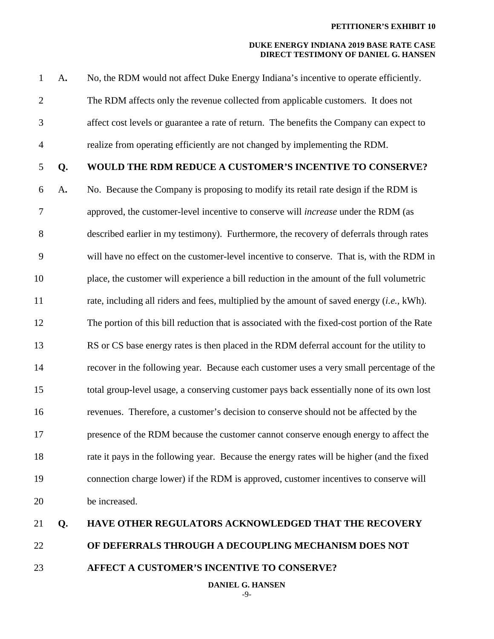#### **DUKE ENERGY INDIANA 2019 BASE RATE CASE DIRECT TESTIMONY OF DANIEL G. HANSEN**

| $\mathbf 1$    | $A_{\bullet}$ | No, the RDM would not affect Duke Energy Indiana's incentive to operate efficiently.          |
|----------------|---------------|-----------------------------------------------------------------------------------------------|
| $\overline{2}$ |               | The RDM affects only the revenue collected from applicable customers. It does not             |
| 3              |               | affect cost levels or guarantee a rate of return. The benefits the Company can expect to      |
| $\overline{4}$ |               | realize from operating efficiently are not changed by implementing the RDM.                   |
| 5              | Q.            | WOULD THE RDM REDUCE A CUSTOMER'S INCENTIVE TO CONSERVE?                                      |
| 6              | $A_{\bullet}$ | No. Because the Company is proposing to modify its retail rate design if the RDM is           |
| $\tau$         |               | approved, the customer-level incentive to conserve will <i>increase</i> under the RDM (as     |
| 8              |               | described earlier in my testimony). Furthermore, the recovery of deferrals through rates      |
| 9              |               | will have no effect on the customer-level incentive to conserve. That is, with the RDM in     |
| 10             |               | place, the customer will experience a bill reduction in the amount of the full volumetric     |
| 11             |               | rate, including all riders and fees, multiplied by the amount of saved energy (i.e., kWh).    |
| 12             |               | The portion of this bill reduction that is associated with the fixed-cost portion of the Rate |
| 13             |               | RS or CS base energy rates is then placed in the RDM deferral account for the utility to      |
| 14             |               | recover in the following year. Because each customer uses a very small percentage of the      |
| 15             |               | total group-level usage, a conserving customer pays back essentially none of its own lost     |
| 16             |               | revenues. Therefore, a customer's decision to conserve should not be affected by the          |
| 17             |               | presence of the RDM because the customer cannot conserve enough energy to affect the          |
| 18             |               | rate it pays in the following year. Because the energy rates will be higher (and the fixed    |
| 19             |               | connection charge lower) if the RDM is approved, customer incentives to conserve will         |
| 20             |               | be increased.                                                                                 |
| 21             | Q.            | <b>HAVE OTHER REGULATORS ACKNOWLEDGED THAT THE RECOVERY</b>                                   |
| 22             |               | OF DEFERRALS THROUGH A DECOUPLING MECHANISM DOES NOT                                          |

23 **AFFECT A CUSTOMER'S INCENTIVE TO CONSERVE?** 

**DANIEL G. HANSEN**

-9-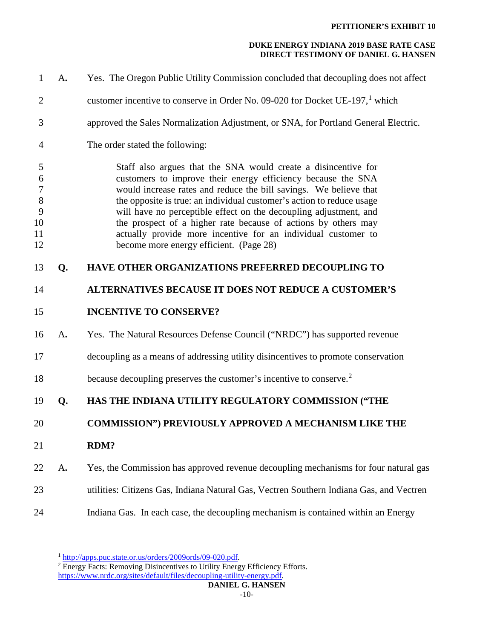#### **DUKE ENERGY INDIANA 2019 BASE RATE CASE DIRECT TESTIMONY OF DANIEL G. HANSEN**

1 A**.** Yes. The Oregon Public Utility Commission concluded that decoupling does not affect 2 customer incentive to conserve in Order No. 09-020 for Docket UE-[1](#page-10-0)97,<sup>1</sup> which 3 approved the Sales Normalization Adjustment, or SNA, for Portland General Electric. 4 The order stated the following: 5 Staff also argues that the SNA would create a disincentive for 6 customers to improve their energy efficiency because the SNA 7 would increase rates and reduce the bill savings. We believe that 8 the opposite is true: an individual customer's action to reduce usage 9 will have no perceptible effect on the decoupling adjustment, and 10 the prospect of a higher rate because of actions by others may 11 actually provide more incentive for an individual customer to 12 become more energy efficient. (Page 28) 13 **Q. HAVE OTHER ORGANIZATIONS PREFERRED DECOUPLING TO**  14 **ALTERNATIVES BECAUSE IT DOES NOT REDUCE A CUSTOMER'S**  15 **INCENTIVE TO CONSERVE?**  16 A**.** Yes. The Natural Resources Defense Council ("NRDC") has supported revenue 17 decoupling as a means of addressing utility disincentives to promote conservation 18 because decoupling preserves the customer's incentive to conserve.<sup>[2](#page-10-1)</sup> 19 **Q. HAS THE INDIANA UTILITY REGULATORY COMMISSION ("THE**  20 **COMMISSION") PREVIOUSLY APPROVED A MECHANISM LIKE THE**  21 **RDM?**  22 A**.** Yes, the Commission has approved revenue decoupling mechanisms for four natural gas 23 utilities: Citizens Gas, Indiana Natural Gas, Vectren Southern Indiana Gas, and Vectren 24 Indiana Gas. In each case, the decoupling mechanism is contained within an Energy

 $\overline{a}$ 

<span id="page-10-1"></span><span id="page-10-0"></span> $\frac{1 \text{ http://apps.puc.state.or.us/orders/2009ords/09-020.pdf}}{2 \text{ Energy Facts: Removing Disincentives to Utility Energy Efficiency Efficiency Efforts.}}$ [https://www.nrdc.org/sites/default/files/decoupling-utility-energy.pdf.](https://www.nrdc.org/sites/default/files/decoupling-utility-energy.pdf)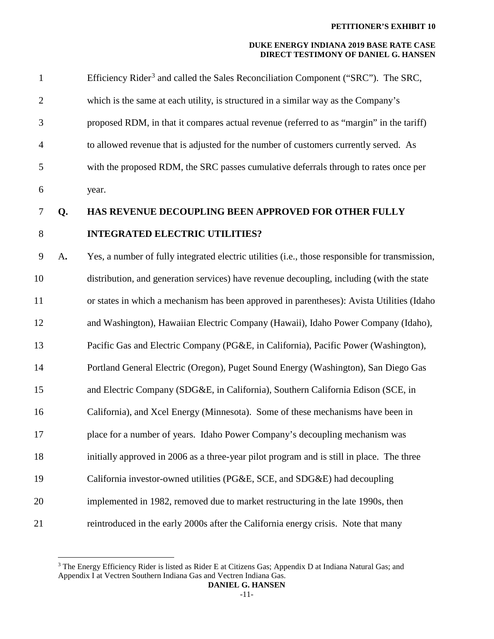#### **DUKE ENERGY INDIANA 2019 BASE RATE CASE DIRECT TESTIMONY OF DANIEL G. HANSEN**

|                | O. | <b>HAS REVENUE DECOUPLING BEEN APPROVED FOR OTHER FULLY</b>                                   |
|----------------|----|-----------------------------------------------------------------------------------------------|
| 6              |    | year.                                                                                         |
| 5              |    | with the proposed RDM, the SRC passes cumulative deferrals through to rates once per          |
| $\overline{4}$ |    | to allowed revenue that is adjusted for the number of customers currently served. As          |
| 3              |    | proposed RDM, in that it compares actual revenue (referred to as "margin" in the tariff)      |
| 2              |    | which is the same at each utility, is structured in a similar way as the Company's            |
| $\mathbf{1}$   |    | Efficiency Rider <sup>3</sup> and called the Sales Reconciliation Component ("SRC"). The SRC, |

 $\overline{a}$ 

## 8 **INTEGRATED ELECTRIC UTILITIES?**

9 A**.** Yes, a number of fully integrated electric utilities (i.e., those responsible for transmission, 10 distribution, and generation services) have revenue decoupling, including (with the state 11 or states in which a mechanism has been approved in parentheses): Avista Utilities (Idaho 12 and Washington), Hawaiian Electric Company (Hawaii), Idaho Power Company (Idaho), 13 Pacific Gas and Electric Company (PG&E, in California), Pacific Power (Washington), 14 Portland General Electric (Oregon), Puget Sound Energy (Washington), San Diego Gas 15 and Electric Company (SDG&E, in California), Southern California Edison (SCE, in 16 California), and Xcel Energy (Minnesota). Some of these mechanisms have been in 17 place for a number of years. Idaho Power Company's decoupling mechanism was 18 initially approved in 2006 as a three-year pilot program and is still in place. The three 19 California investor-owned utilities (PG&E, SCE, and SDG&E) had decoupling 20 implemented in 1982, removed due to market restructuring in the late 1990s, then

<span id="page-11-0"></span><sup>21</sup> reintroduced in the early 2000s after the California energy crisis. Note that many

<sup>&</sup>lt;sup>3</sup> The Energy Efficiency Rider is listed as Rider E at Citizens Gas; Appendix D at Indiana Natural Gas; and Appendix I at Vectren Southern Indiana Gas and Vectren Indiana Gas.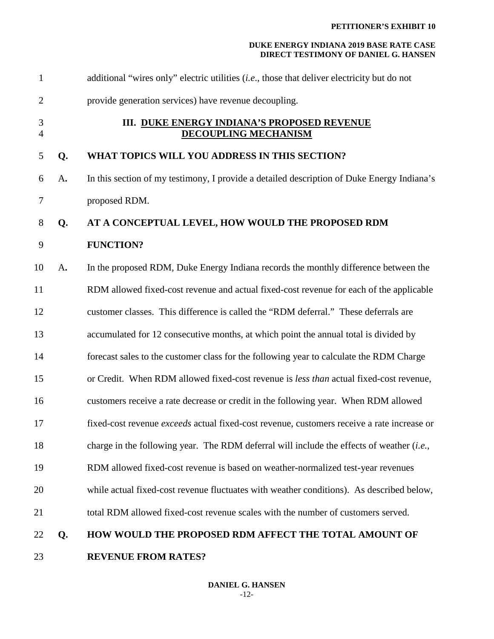#### **DUKE ENERGY INDIANA 2019 BASE RATE CASE DIRECT TESTIMONY OF DANIEL G. HANSEN**

| $\mathbf{1}$        |               | additional "wires only" electric utilities (i.e., those that deliver electricity but do not |
|---------------------|---------------|---------------------------------------------------------------------------------------------|
| $\overline{2}$      |               | provide generation services) have revenue decoupling.                                       |
| 3<br>$\overline{4}$ |               | III. DUKE ENERGY INDIANA'S PROPOSED REVENUE<br><b>DECOUPLING MECHANISM</b>                  |
| 5                   | Q.            | WHAT TOPICS WILL YOU ADDRESS IN THIS SECTION?                                               |
| 6                   | A.            | In this section of my testimony, I provide a detailed description of Duke Energy Indiana's  |
| $\tau$              |               | proposed RDM.                                                                               |
| 8                   | Q.            | AT A CONCEPTUAL LEVEL, HOW WOULD THE PROPOSED RDM                                           |
| 9                   |               | <b>FUNCTION?</b>                                                                            |
| 10                  | $A_{\bullet}$ | In the proposed RDM, Duke Energy Indiana records the monthly difference between the         |
| 11                  |               | RDM allowed fixed-cost revenue and actual fixed-cost revenue for each of the applicable     |
| 12                  |               | customer classes. This difference is called the "RDM deferral." These deferrals are         |
| 13                  |               | accumulated for 12 consecutive months, at which point the annual total is divided by        |
| 14                  |               | forecast sales to the customer class for the following year to calculate the RDM Charge     |
| 15                  |               | or Credit. When RDM allowed fixed-cost revenue is less than actual fixed-cost revenue,      |
| 16                  |               | customers receive a rate decrease or credit in the following year. When RDM allowed         |
| 17                  |               | fixed-cost revenue exceeds actual fixed-cost revenue, customers receive a rate increase or  |
| 18                  |               | charge in the following year. The RDM deferral will include the effects of weather (i.e.,   |
| 19                  |               | RDM allowed fixed-cost revenue is based on weather-normalized test-year revenues            |
| 20                  |               | while actual fixed-cost revenue fluctuates with weather conditions). As described below,    |
| 21                  |               | total RDM allowed fixed-cost revenue scales with the number of customers served.            |
| 22                  | Q.            | <b>HOW WOULD THE PROPOSED RDM AFFECT THE TOTAL AMOUNT OF</b>                                |
| 23                  |               | <b>REVENUE FROM RATES?</b>                                                                  |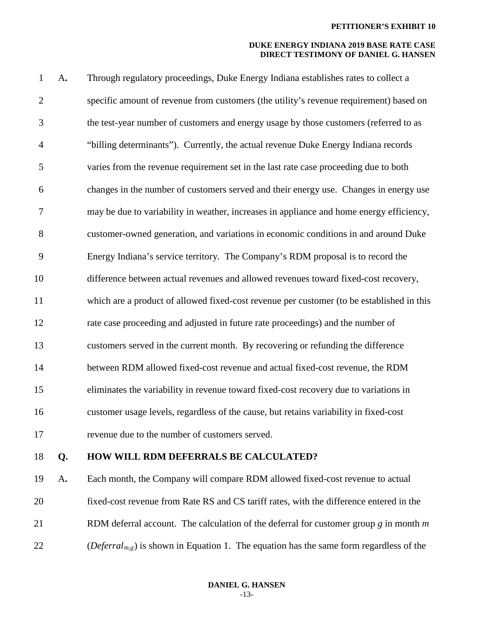#### **DUKE ENERGY INDIANA 2019 BASE RATE CASE DIRECT TESTIMONY OF DANIEL G. HANSEN**

| $\mathbf{1}$   | $A_{\bullet}$ | Through regulatory proceedings, Duke Energy Indiana establishes rates to collect a        |
|----------------|---------------|-------------------------------------------------------------------------------------------|
| $\overline{2}$ |               | specific amount of revenue from customers (the utility's revenue requirement) based on    |
| 3              |               | the test-year number of customers and energy usage by those customers (referred to as     |
| $\overline{4}$ |               | "billing determinants"). Currently, the actual revenue Duke Energy Indiana records        |
| 5              |               | varies from the revenue requirement set in the last rate case proceeding due to both      |
| 6              |               | changes in the number of customers served and their energy use. Changes in energy use     |
| $\tau$         |               | may be due to variability in weather, increases in appliance and home energy efficiency,  |
| 8              |               | customer-owned generation, and variations in economic conditions in and around Duke       |
| 9              |               | Energy Indiana's service territory. The Company's RDM proposal is to record the           |
| 10             |               | difference between actual revenues and allowed revenues toward fixed-cost recovery,       |
| 11             |               | which are a product of allowed fixed-cost revenue per customer (to be established in this |
| 12             |               | rate case proceeding and adjusted in future rate proceedings) and the number of           |
| 13             |               | customers served in the current month. By recovering or refunding the difference          |
| 14             |               | between RDM allowed fixed-cost revenue and actual fixed-cost revenue, the RDM             |
| 15             |               | eliminates the variability in revenue toward fixed-cost recovery due to variations in     |
| 16             |               | customer usage levels, regardless of the cause, but retains variability in fixed-cost     |
| 17             |               | revenue due to the number of customers served.                                            |
|                |               |                                                                                           |

### 18 **Q. HOW WILL RDM DEFERRALS BE CALCULATED?**

19 A**.** Each month, the Company will compare RDM allowed fixed-cost revenue to actual 20 fixed-cost revenue from Rate RS and CS tariff rates, with the difference entered in the 21 RDM deferral account. The calculation of the deferral for customer group *g* in month *m* 22 (*Deferral<sub>m,g</sub>*) is shown in Equation 1. The equation has the same form regardless of the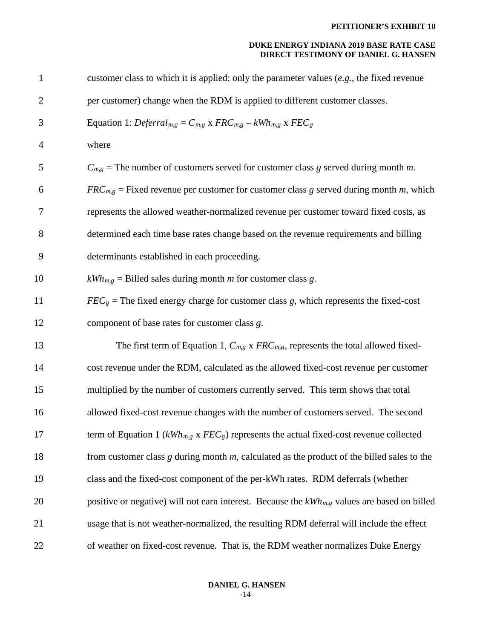#### **DUKE ENERGY INDIANA 2019 BASE RATE CASE DIRECT TESTIMONY OF DANIEL G. HANSEN**

| $\mathbf{1}$   | customer class to which it is applied; only the parameter values $(e.g., the fixed revenue)$     |
|----------------|--------------------------------------------------------------------------------------------------|
| $\overline{2}$ | per customer) change when the RDM is applied to different customer classes.                      |
| 3              | Equation 1: $Defernal_{m,g} = C_{m,g} \times FRC_{m,g} - kWh_{m,g} \times FEC_g$                 |
| $\overline{4}$ | where                                                                                            |
| 5              | $C_{m,g}$ = The number of customers served for customer class g served during month m.           |
| 6              | $FRC_{m,g}$ = Fixed revenue per customer for customer class g served during month m, which       |
| 7              | represents the allowed weather-normalized revenue per customer toward fixed costs, as            |
| 8              | determined each time base rates change based on the revenue requirements and billing             |
| 9              | determinants established in each proceeding.                                                     |
| 10             | $kWh_{m,g}$ = Billed sales during month <i>m</i> for customer class <i>g</i> .                   |
| 11             | $FECg$ = The fixed energy charge for customer class g, which represents the fixed-cost           |
| 12             | component of base rates for customer class g.                                                    |
| 13             | The first term of Equation 1, $C_{m,g}$ x $FRC_{m,g}$ , represents the total allowed fixed-      |
| 14             | cost revenue under the RDM, calculated as the allowed fixed-cost revenue per customer            |
| 15             | multiplied by the number of customers currently served. This term shows that total               |
| 16             | allowed fixed-cost revenue changes with the number of customers served. The second               |
| 17             | term of Equation 1 ( $kWh_{m,g}$ x $FEC_g$ ) represents the actual fixed-cost revenue collected  |
| 18             | from customer class $g$ during month $m$ , calculated as the product of the billed sales to the  |
| 19             | class and the fixed-cost component of the per-kWh rates. RDM deferrals (whether                  |
| 20             | positive or negative) will not earn interest. Because the $kWh_{m,g}$ values are based on billed |
| 21             | usage that is not weather-normalized, the resulting RDM deferral will include the effect         |
| 22             | of weather on fixed-cost revenue. That is, the RDM weather normalizes Duke Energy                |

#### **DANIEL G. HANSEN** -14-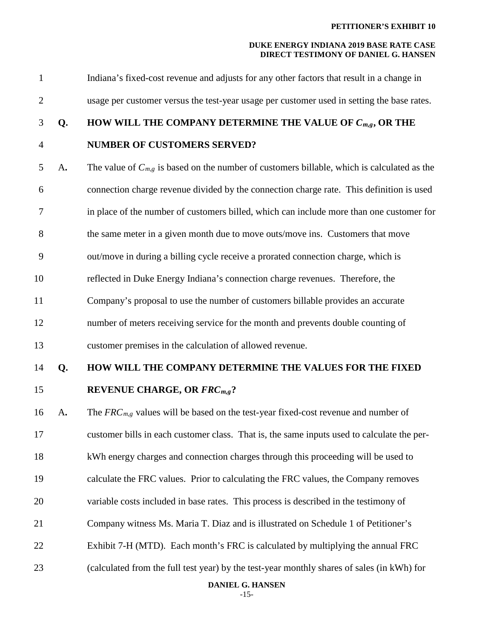#### **DUKE ENERGY INDIANA 2019 BASE RATE CASE DIRECT TESTIMONY OF DANIEL G. HANSEN**

**DANIEL G. HANSEN** -15- 1 Indiana's fixed-cost revenue and adjusts for any other factors that result in a change in 2 usage per customer versus the test-year usage per customer used in setting the base rates. 3 **Q. HOW WILL THE COMPANY DETERMINE THE VALUE OF** *Cm,g***, OR THE**  4 **NUMBER OF CUSTOMERS SERVED?** 5 A. The value of  $C_{m,g}$  is based on the number of customers billable, which is calculated as the 6 connection charge revenue divided by the connection charge rate. This definition is used 7 in place of the number of customers billed, which can include more than one customer for 8 the same meter in a given month due to move outs/move ins. Customers that move 9 out/move in during a billing cycle receive a prorated connection charge, which is 10 reflected in Duke Energy Indiana's connection charge revenues. Therefore, the 11 Company's proposal to use the number of customers billable provides an accurate 12 number of meters receiving service for the month and prevents double counting of 13 customer premises in the calculation of allowed revenue. 14 **Q. HOW WILL THE COMPANY DETERMINE THE VALUES FOR THE FIXED**  15 **REVENUE CHARGE, OR** *FRCm,g***?**  16 A**.** The *FRCm,g* values will be based on the test-year fixed-cost revenue and number of 17 customer bills in each customer class. That is, the same inputs used to calculate the per-18 kWh energy charges and connection charges through this proceeding will be used to 19 calculate the FRC values. Prior to calculating the FRC values, the Company removes 20 variable costs included in base rates. This process is described in the testimony of 21 Company witness Ms. Maria T. Diaz and is illustrated on Schedule 1 of Petitioner's 22 Exhibit 7-H (MTD). Each month's FRC is calculated by multiplying the annual FRC 23 (calculated from the full test year) by the test-year monthly shares of sales (in kWh) for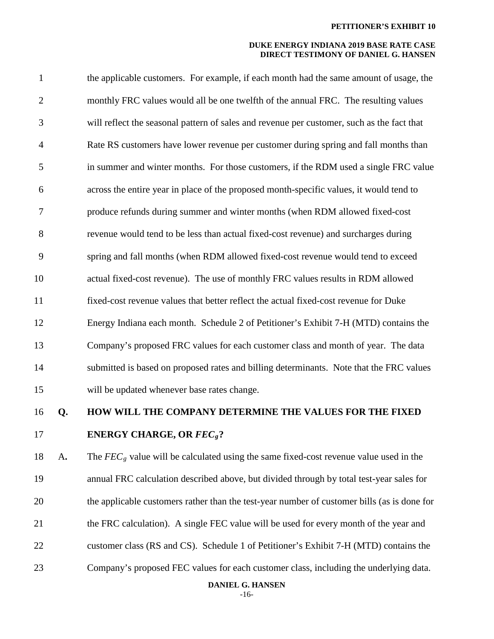#### **DUKE ENERGY INDIANA 2019 BASE RATE CASE DIRECT TESTIMONY OF DANIEL G. HANSEN**

| $\mathbf{1}$   | the applicable customers. For example, if each month had the same amount of usage, the     |
|----------------|--------------------------------------------------------------------------------------------|
| $\overline{2}$ | monthly FRC values would all be one twelfth of the annual FRC. The resulting values        |
| 3              | will reflect the seasonal pattern of sales and revenue per customer, such as the fact that |
| $\overline{4}$ | Rate RS customers have lower revenue per customer during spring and fall months than       |
| 5              | in summer and winter months. For those customers, if the RDM used a single FRC value       |
| 6              | across the entire year in place of the proposed month-specific values, it would tend to    |
| 7              | produce refunds during summer and winter months (when RDM allowed fixed-cost               |
| 8              | revenue would tend to be less than actual fixed-cost revenue) and surcharges during        |
| 9              | spring and fall months (when RDM allowed fixed-cost revenue would tend to exceed           |
| 10             | actual fixed-cost revenue). The use of monthly FRC values results in RDM allowed           |
| 11             | fixed-cost revenue values that better reflect the actual fixed-cost revenue for Duke       |
| 12             | Energy Indiana each month. Schedule 2 of Petitioner's Exhibit 7-H (MTD) contains the       |
| 13             | Company's proposed FRC values for each customer class and month of year. The data          |
| 14             | submitted is based on proposed rates and billing determinants. Note that the FRC values    |
| 15             | will be updated whenever base rates change.                                                |

16 **Q. HOW WILL THE COMPANY DETERMINE THE VALUES FOR THE FIXED**  17 **ENERGY CHARGE, OR** *FECg***?** 

18 A**.** The *FECg* value will be calculated using the same fixed-cost revenue value used in the 19 annual FRC calculation described above, but divided through by total test-year sales for 20 the applicable customers rather than the test-year number of customer bills (as is done for 21 the FRC calculation). A single FEC value will be used for every month of the year and 22 customer class (RS and CS). Schedule 1 of Petitioner's Exhibit 7-H (MTD) contains the 23 Company's proposed FEC values for each customer class, including the underlying data.

**DANIEL G. HANSEN**

-16-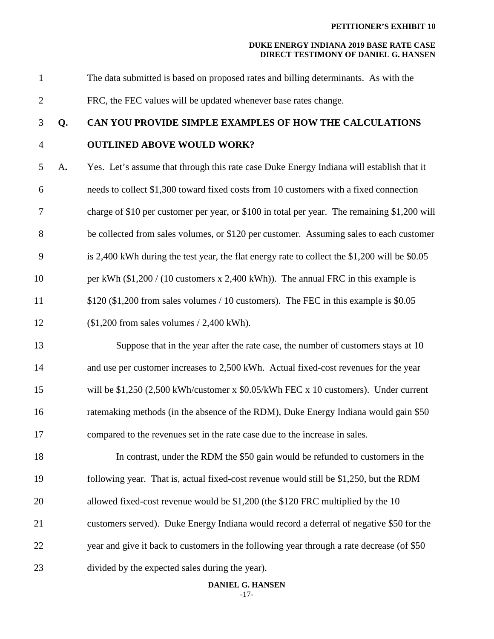#### **DUKE ENERGY INDIANA 2019 BASE RATE CASE DIRECT TESTIMONY OF DANIEL G. HANSEN**

1 The data submitted is based on proposed rates and billing determinants. As with the 2 FRC, the FEC values will be updated whenever base rates change.

# 3 **Q. CAN YOU PROVIDE SIMPLE EXAMPLES OF HOW THE CALCULATIONS**

# 4 **OUTLINED ABOVE WOULD WORK?**

5 A**.** Yes. Let's assume that through this rate case Duke Energy Indiana will establish that it 6 needs to collect \$1,300 toward fixed costs from 10 customers with a fixed connection 7 charge of \$10 per customer per year, or \$100 in total per year. The remaining \$1,200 will 8 be collected from sales volumes, or \$120 per customer. Assuming sales to each customer 9 is 2,400 kWh during the test year, the flat energy rate to collect the \$1,200 will be \$0.05 10 per kWh (\$1,200 / (10 customers x 2,400 kWh)). The annual FRC in this example is 11  $$120 ($1,200$ from sales volumes / 10 customers). The FEC in this example is $0.05$ 12 (\$1,200 from sales volumes / 2,400 kWh). 13 Suppose that in the year after the rate case, the number of customers stays at 10

14 and use per customer increases to 2,500 kWh. Actual fixed-cost revenues for the year 15 will be \$1,250 (2,500 kWh/customer x \$0.05/kWh FEC x 10 customers). Under current 16 ratemaking methods (in the absence of the RDM), Duke Energy Indiana would gain \$50 17 compared to the revenues set in the rate case due to the increase in sales.

18 In contrast, under the RDM the \$50 gain would be refunded to customers in the 19 following year. That is, actual fixed-cost revenue would still be \$1,250, but the RDM 20 allowed fixed-cost revenue would be \$1,200 (the \$120 FRC multiplied by the 10

- 
- 21 customers served). Duke Energy Indiana would record a deferral of negative \$50 for the
- 22 year and give it back to customers in the following year through a rate decrease (of \$50
- 23 divided by the expected sales during the year).

# **DANIEL G. HANSEN**

-17-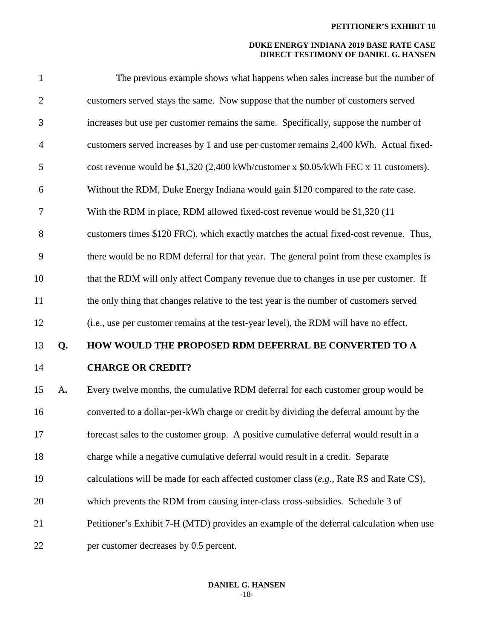#### **DUKE ENERGY INDIANA 2019 BASE RATE CASE DIRECT TESTIMONY OF DANIEL G. HANSEN**

| $\mathbf{1}$   |    | The previous example shows what happens when sales increase but the number of             |
|----------------|----|-------------------------------------------------------------------------------------------|
| $\overline{2}$ |    | customers served stays the same. Now suppose that the number of customers served          |
| 3              |    | increases but use per customer remains the same. Specifically, suppose the number of      |
| $\overline{4}$ |    | customers served increases by 1 and use per customer remains 2,400 kWh. Actual fixed-     |
| 5              |    | cost revenue would be \$1,320 (2,400 kWh/customer x \$0.05/kWh FEC x 11 customers).       |
| 6              |    | Without the RDM, Duke Energy Indiana would gain \$120 compared to the rate case.          |
| $\tau$         |    | With the RDM in place, RDM allowed fixed-cost revenue would be \$1,320 (11)               |
| 8              |    | customers times \$120 FRC), which exactly matches the actual fixed-cost revenue. Thus,    |
| 9              |    | there would be no RDM deferral for that year. The general point from these examples is    |
| 10             |    | that the RDM will only affect Company revenue due to changes in use per customer. If      |
| 11             |    | the only thing that changes relative to the test year is the number of customers served   |
| 12             |    | (i.e., use per customer remains at the test-year level), the RDM will have no effect.     |
| 13             | Q. | HOW WOULD THE PROPOSED RDM DEFERRAL BE CONVERTED TO A                                     |
| 14             |    | <b>CHARGE OR CREDIT?</b>                                                                  |
| 15             | A. | Every twelve months, the cumulative RDM deferral for each customer group would be         |
| 16             |    | converted to a dollar-per-kWh charge or credit by dividing the deferral amount by the     |
| 17             |    | forecast sales to the customer group. A positive cumulative deferral would result in a    |
| 18             |    | charge while a negative cumulative deferral would result in a credit. Separate            |
| 19             |    | calculations will be made for each affected customer class $(e.g.,$ Rate RS and Rate CS), |
| 20             |    | which prevents the RDM from causing inter-class cross-subsidies. Schedule 3 of            |
| 21             |    | Petitioner's Exhibit 7-H (MTD) provides an example of the deferral calculation when use   |
| 22             |    | per customer decreases by 0.5 percent.                                                    |

#### **DANIEL G. HANSEN** -18-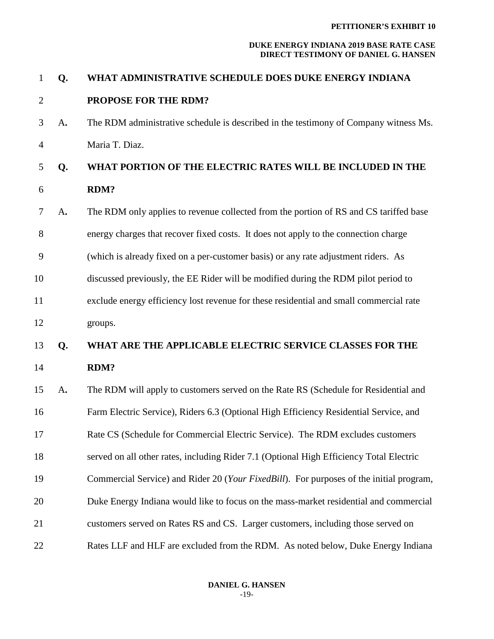#### **DUKE ENERGY INDIANA 2019 BASE RATE CASE DIRECT TESTIMONY OF DANIEL G. HANSEN**

| $\mathbf 1$    | Q. | WHAT ADMINISTRATIVE SCHEDULE DOES DUKE ENERGY INDIANA                                   |
|----------------|----|-----------------------------------------------------------------------------------------|
| $\overline{2}$ |    | PROPOSE FOR THE RDM?                                                                    |
| 3              | A. | The RDM administrative schedule is described in the testimony of Company witness Ms.    |
| 4              |    | Maria T. Diaz.                                                                          |
| 5              | Q. | WHAT PORTION OF THE ELECTRIC RATES WILL BE INCLUDED IN THE                              |
| 6              |    | RDM?                                                                                    |
| 7              | A. | The RDM only applies to revenue collected from the portion of RS and CS tariffed base   |
| 8              |    | energy charges that recover fixed costs. It does not apply to the connection charge     |
| 9              |    | (which is already fixed on a per-customer basis) or any rate adjustment riders. As      |
| 10             |    | discussed previously, the EE Rider will be modified during the RDM pilot period to      |
| 11             |    | exclude energy efficiency lost revenue for these residential and small commercial rate  |
| 12             |    | groups.                                                                                 |
| 13             | Q. | WHAT ARE THE APPLICABLE ELECTRIC SERVICE CLASSES FOR THE                                |
| 14             |    | RDM?                                                                                    |
| 15             | A. | The RDM will apply to customers served on the Rate RS (Schedule for Residential and     |
| 16             |    | Farm Electric Service), Riders 6.3 (Optional High Efficiency Residential Service, and   |
| 17             |    | Rate CS (Schedule for Commercial Electric Service). The RDM excludes customers          |
| 18             |    | served on all other rates, including Rider 7.1 (Optional High Efficiency Total Electric |
| 19             |    | Commercial Service) and Rider 20 (Your FixedBill). For purposes of the initial program, |
| 20             |    | Duke Energy Indiana would like to focus on the mass-market residential and commercial   |
| 21             |    | customers served on Rates RS and CS. Larger customers, including those served on        |
| 22             |    | Rates LLF and HLF are excluded from the RDM. As noted below, Duke Energy Indiana        |

**DANIEL G. HANSEN** -19-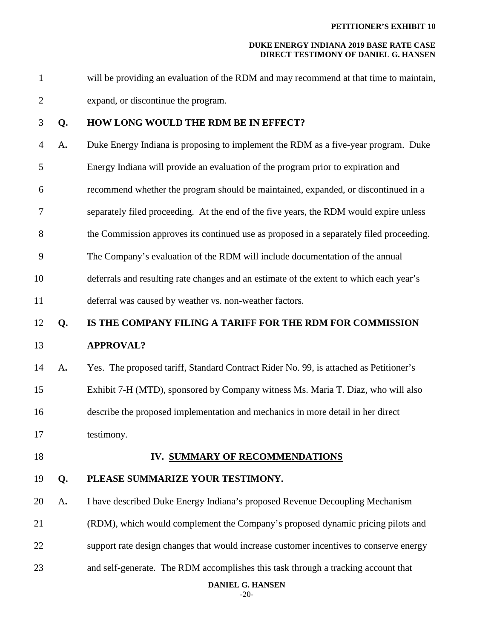#### **DUKE ENERGY INDIANA 2019 BASE RATE CASE DIRECT TESTIMONY OF DANIEL G. HANSEN**

1 will be providing an evaluation of the RDM and may recommend at that time to maintain, 2 expand, or discontinue the program.

#### 3 **Q. HOW LONG WOULD THE RDM BE IN EFFECT?**

- 4 A**.** Duke Energy Indiana is proposing to implement the RDM as a five-year program. Duke
- 5 Energy Indiana will provide an evaluation of the program prior to expiration and
- 6 recommend whether the program should be maintained, expanded, or discontinued in a
- 7 separately filed proceeding. At the end of the five years, the RDM would expire unless
- 8 the Commission approves its continued use as proposed in a separately filed proceeding.
- 9 The Company's evaluation of the RDM will include documentation of the annual
- 10 deferrals and resulting rate changes and an estimate of the extent to which each year's
- 11 deferral was caused by weather vs. non-weather factors.

# 12 **Q. IS THE COMPANY FILING A TARIFF FOR THE RDM FOR COMMISSION**  13 **APPROVAL?**

14 A**.** Yes. The proposed tariff, Standard Contract Rider No. 99, is attached as Petitioner's

15 Exhibit 7-H (MTD), sponsored by Company witness Ms. Maria T. Diaz, who will also 16 describe the proposed implementation and mechanics in more detail in her direct

- 17 testimony.
- 

### 18 **IV. SUMMARY OF RECOMMENDATIONS**

# 19 **Q. PLEASE SUMMARIZE YOUR TESTIMONY.**

- 20 A**.** I have described Duke Energy Indiana's proposed Revenue Decoupling Mechanism
- 21 (RDM), which would complement the Company's proposed dynamic pricing pilots and
- 22 support rate design changes that would increase customer incentives to conserve energy
- 23 and self-generate. The RDM accomplishes this task through a tracking account that

**DANIEL G. HANSEN**

-20-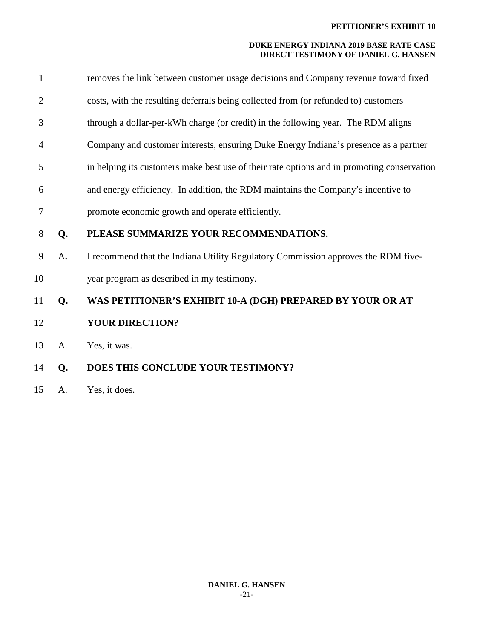#### **DUKE ENERGY INDIANA 2019 BASE RATE CASE DIRECT TESTIMONY OF DANIEL G. HANSEN**

| $\mathbf{1}$   |    | removes the link between customer usage decisions and Company revenue toward fixed         |
|----------------|----|--------------------------------------------------------------------------------------------|
| $\overline{2}$ |    | costs, with the resulting deferrals being collected from (or refunded to) customers        |
| 3              |    | through a dollar-per-kWh charge (or credit) in the following year. The RDM aligns          |
| 4              |    | Company and customer interests, ensuring Duke Energy Indiana's presence as a partner       |
| 5              |    | in helping its customers make best use of their rate options and in promoting conservation |
| 6              |    | and energy efficiency. In addition, the RDM maintains the Company's incentive to           |
| 7              |    | promote economic growth and operate efficiently.                                           |
| 8              | Q. | PLEASE SUMMARIZE YOUR RECOMMENDATIONS.                                                     |
| 9              | A. | I recommend that the Indiana Utility Regulatory Commission approves the RDM five-          |
| 10             |    | year program as described in my testimony.                                                 |
| 11             | Q. | WAS PETITIONER'S EXHIBIT 10-A (DGH) PREPARED BY YOUR OR AT                                 |
| 12             |    | <b>YOUR DIRECTION?</b>                                                                     |
| 13             | A. | Yes, it was.                                                                               |
| 14             | Q. | DOES THIS CONCLUDE YOUR TESTIMONY?                                                         |
| 15             | A. | Yes, it does.                                                                              |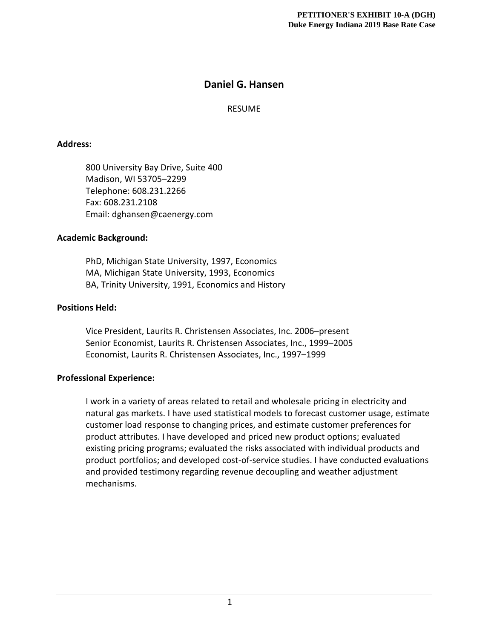# **Daniel G. Hansen**

RESUME

## **Address:**

800 University Bay Drive, Suite 400 Madison, WI 53705–2299 Telephone: 608.231.2266 Fax: 608.231.2108 Email: dghansen@caenergy.com

## **Academic Background:**

PhD, Michigan State University, 1997, Economics MA, Michigan State University, 1993, Economics BA, Trinity University, 1991, Economics and History

## **Positions Held:**

Vice President, Laurits R. Christensen Associates, Inc. 2006–present Senior Economist, Laurits R. Christensen Associates, Inc., 1999–2005 Economist, Laurits R. Christensen Associates, Inc., 1997–1999

## **Professional Experience:**

I work in a variety of areas related to retail and wholesale pricing in electricity and natural gas markets. I have used statistical models to forecast customer usage, estimate customer load response to changing prices, and estimate customer preferences for product attributes. I have developed and priced new product options; evaluated existing pricing programs; evaluated the risks associated with individual products and product portfolios; and developed cost-of-service studies. I have conducted evaluations and provided testimony regarding revenue decoupling and weather adjustment mechanisms.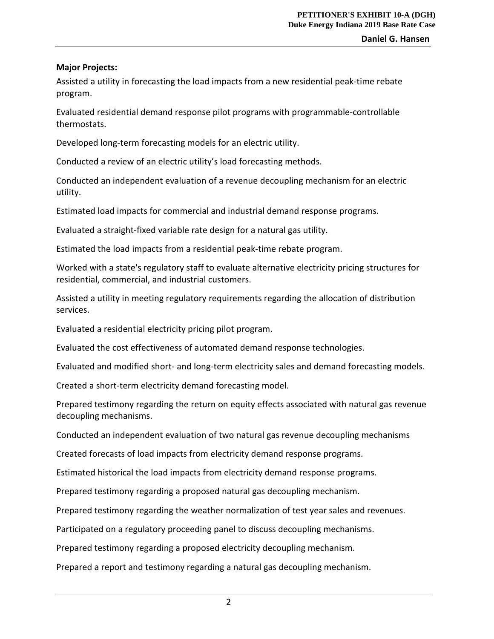## **Major Projects:**

Assisted a utility in forecasting the load impacts from a new residential peak-time rebate program.

Evaluated residential demand response pilot programs with programmable-controllable thermostats.

Developed long-term forecasting models for an electric utility.

Conducted a review of an electric utility's load forecasting methods.

Conducted an independent evaluation of a revenue decoupling mechanism for an electric utility.

Estimated load impacts for commercial and industrial demand response programs.

Evaluated a straight-fixed variable rate design for a natural gas utility.

Estimated the load impacts from a residential peak-time rebate program.

Worked with a state's regulatory staff to evaluate alternative electricity pricing structures for residential, commercial, and industrial customers.

Assisted a utility in meeting regulatory requirements regarding the allocation of distribution services.

Evaluated a residential electricity pricing pilot program.

Evaluated the cost effectiveness of automated demand response technologies.

Evaluated and modified short- and long-term electricity sales and demand forecasting models.

Created a short-term electricity demand forecasting model.

Prepared testimony regarding the return on equity effects associated with natural gas revenue decoupling mechanisms.

Conducted an independent evaluation of two natural gas revenue decoupling mechanisms

Created forecasts of load impacts from electricity demand response programs.

Estimated historical the load impacts from electricity demand response programs.

Prepared testimony regarding a proposed natural gas decoupling mechanism.

Prepared testimony regarding the weather normalization of test year sales and revenues.

Participated on a regulatory proceeding panel to discuss decoupling mechanisms.

Prepared testimony regarding a proposed electricity decoupling mechanism.

Prepared a report and testimony regarding a natural gas decoupling mechanism.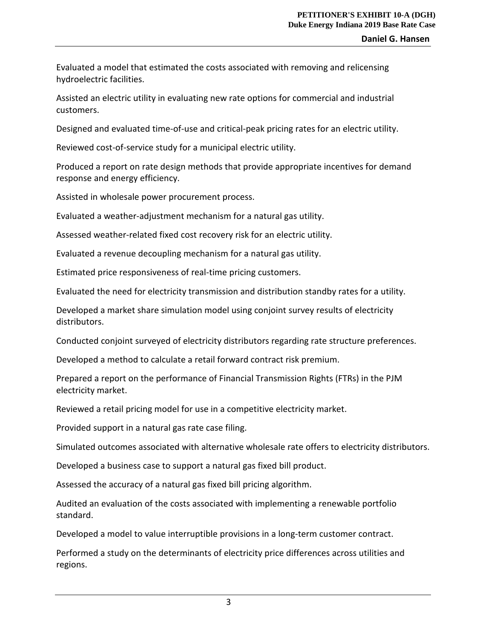Evaluated a model that estimated the costs associated with removing and relicensing hydroelectric facilities.

Assisted an electric utility in evaluating new rate options for commercial and industrial customers.

Designed and evaluated time-of-use and critical-peak pricing rates for an electric utility.

Reviewed cost-of-service study for a municipal electric utility.

Produced a report on rate design methods that provide appropriate incentives for demand response and energy efficiency.

Assisted in wholesale power procurement process.

Evaluated a weather-adjustment mechanism for a natural gas utility.

Assessed weather-related fixed cost recovery risk for an electric utility.

Evaluated a revenue decoupling mechanism for a natural gas utility.

Estimated price responsiveness of real-time pricing customers.

Evaluated the need for electricity transmission and distribution standby rates for a utility.

Developed a market share simulation model using conjoint survey results of electricity distributors.

Conducted conjoint surveyed of electricity distributors regarding rate structure preferences.

Developed a method to calculate a retail forward contract risk premium.

Prepared a report on the performance of Financial Transmission Rights (FTRs) in the PJM electricity market.

Reviewed a retail pricing model for use in a competitive electricity market.

Provided support in a natural gas rate case filing.

Simulated outcomes associated with alternative wholesale rate offers to electricity distributors.

Developed a business case to support a natural gas fixed bill product.

Assessed the accuracy of a natural gas fixed bill pricing algorithm.

Audited an evaluation of the costs associated with implementing a renewable portfolio standard.

Developed a model to value interruptible provisions in a long-term customer contract.

Performed a study on the determinants of electricity price differences across utilities and regions.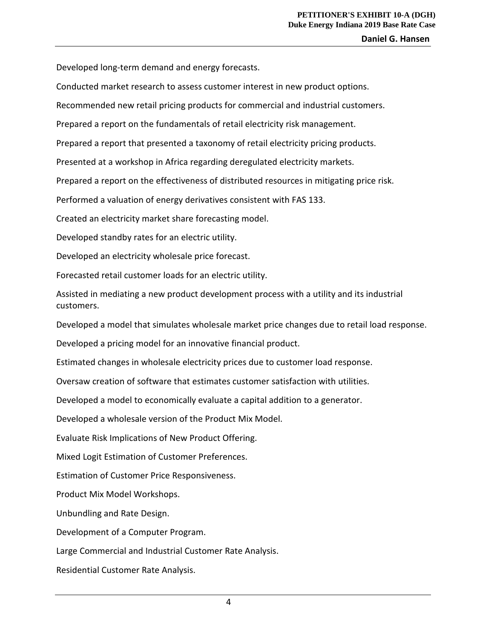#### **Daniel G. Hansen**

Developed long-term demand and energy forecasts.

Conducted market research to assess customer interest in new product options.

Recommended new retail pricing products for commercial and industrial customers.

Prepared a report on the fundamentals of retail electricity risk management.

Prepared a report that presented a taxonomy of retail electricity pricing products.

Presented at a workshop in Africa regarding deregulated electricity markets.

Prepared a report on the effectiveness of distributed resources in mitigating price risk.

Performed a valuation of energy derivatives consistent with FAS 133.

Created an electricity market share forecasting model.

Developed standby rates for an electric utility.

Developed an electricity wholesale price forecast.

Forecasted retail customer loads for an electric utility.

Assisted in mediating a new product development process with a utility and its industrial customers.

Developed a model that simulates wholesale market price changes due to retail load response.

Developed a pricing model for an innovative financial product.

Estimated changes in wholesale electricity prices due to customer load response.

Oversaw creation of software that estimates customer satisfaction with utilities.

Developed a model to economically evaluate a capital addition to a generator.

Developed a wholesale version of the Product Mix Model.

Evaluate Risk Implications of New Product Offering.

Mixed Logit Estimation of Customer Preferences.

Estimation of Customer Price Responsiveness.

Product Mix Model Workshops.

Unbundling and Rate Design.

Development of a Computer Program.

Large Commercial and Industrial Customer Rate Analysis.

Residential Customer Rate Analysis.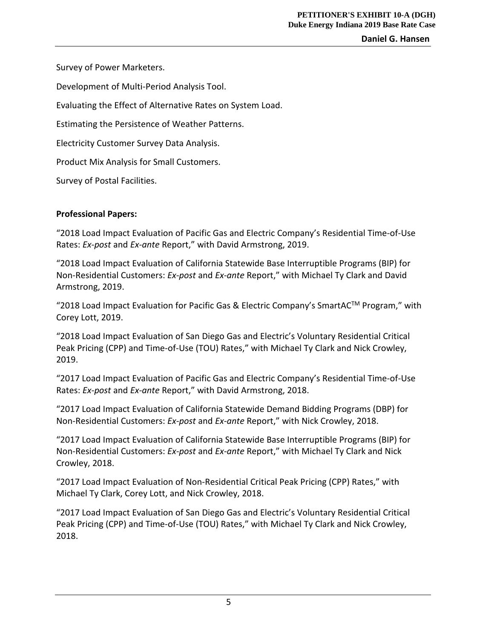**Daniel G. Hansen**

Survey of Power Marketers.

Development of Multi-Period Analysis Tool.

Evaluating the Effect of Alternative Rates on System Load.

Estimating the Persistence of Weather Patterns.

Electricity Customer Survey Data Analysis.

Product Mix Analysis for Small Customers.

Survey of Postal Facilities.

# **Professional Papers:**

"2018 Load Impact Evaluation of Pacific Gas and Electric Company's Residential Time-of-Use Rates: *Ex-post* and *Ex-ante* Report," with David Armstrong, 2019.

"2018 Load Impact Evaluation of California Statewide Base Interruptible Programs (BIP) for Non-Residential Customers: *Ex-post* and *Ex-ante* Report," with Michael Ty Clark and David Armstrong, 2019.

"2018 Load Impact Evaluation for Pacific Gas & Electric Company's SmartAC<sup>TM</sup> Program," with Corey Lott, 2019.

"2018 Load Impact Evaluation of San Diego Gas and Electric's Voluntary Residential Critical Peak Pricing (CPP) and Time-of-Use (TOU) Rates," with Michael Ty Clark and Nick Crowley, 2019.

"2017 Load Impact Evaluation of Pacific Gas and Electric Company's Residential Time-of-Use Rates: *Ex-post* and *Ex-ante* Report," with David Armstrong, 2018.

"2017 Load Impact Evaluation of California Statewide Demand Bidding Programs (DBP) for Non-Residential Customers: *Ex-post* and *Ex-ante* Report," with Nick Crowley, 2018.

"2017 Load Impact Evaluation of California Statewide Base Interruptible Programs (BIP) for Non-Residential Customers: *Ex-post* and *Ex-ante* Report," with Michael Ty Clark and Nick Crowley, 2018.

"2017 Load Impact Evaluation of Non-Residential Critical Peak Pricing (CPP) Rates," with Michael Ty Clark, Corey Lott, and Nick Crowley, 2018.

"2017 Load Impact Evaluation of San Diego Gas and Electric's Voluntary Residential Critical Peak Pricing (CPP) and Time-of-Use (TOU) Rates," with Michael Ty Clark and Nick Crowley, 2018.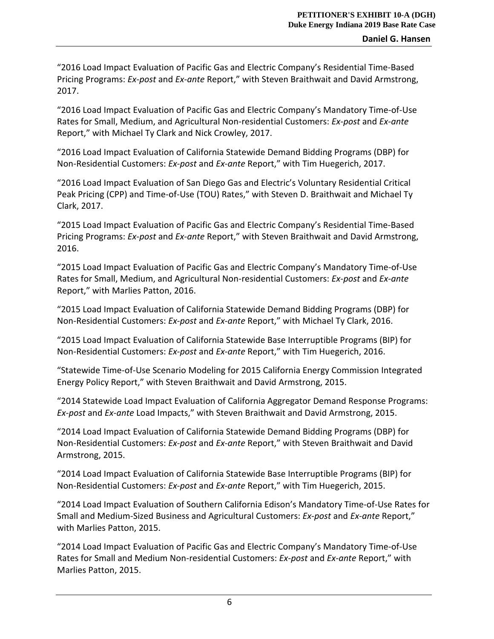"2016 Load Impact Evaluation of Pacific Gas and Electric Company's Residential Time-Based Pricing Programs: *Ex-post* and *Ex-ante* Report," with Steven Braithwait and David Armstrong, 2017.

"2016 Load Impact Evaluation of Pacific Gas and Electric Company's Mandatory Time-of-Use Rates for Small, Medium, and Agricultural Non-residential Customers: *Ex-post* and *Ex-ante* Report," with Michael Ty Clark and Nick Crowley, 2017.

"2016 Load Impact Evaluation of California Statewide Demand Bidding Programs (DBP) for Non-Residential Customers: *Ex-post* and *Ex-ante* Report," with Tim Huegerich, 2017.

"2016 Load Impact Evaluation of San Diego Gas and Electric's Voluntary Residential Critical Peak Pricing (CPP) and Time-of-Use (TOU) Rates," with Steven D. Braithwait and Michael Ty Clark, 2017.

"2015 Load Impact Evaluation of Pacific Gas and Electric Company's Residential Time-Based Pricing Programs: *Ex-post* and *Ex-ante* Report," with Steven Braithwait and David Armstrong, 2016.

"2015 Load Impact Evaluation of Pacific Gas and Electric Company's Mandatory Time-of-Use Rates for Small, Medium, and Agricultural Non-residential Customers: *Ex-post* and *Ex-ante* Report," with Marlies Patton, 2016.

"2015 Load Impact Evaluation of California Statewide Demand Bidding Programs (DBP) for Non-Residential Customers: *Ex-post* and *Ex-ante* Report," with Michael Ty Clark, 2016.

"2015 Load Impact Evaluation of California Statewide Base Interruptible Programs (BIP) for Non-Residential Customers: *Ex-post* and *Ex-ante* Report," with Tim Huegerich, 2016.

"Statewide Time-of-Use Scenario Modeling for 2015 California Energy Commission Integrated Energy Policy Report," with Steven Braithwait and David Armstrong, 2015.

"2014 Statewide Load Impact Evaluation of California Aggregator Demand Response Programs: *Ex-post* and *Ex-ante* Load Impacts," with Steven Braithwait and David Armstrong, 2015.

"2014 Load Impact Evaluation of California Statewide Demand Bidding Programs (DBP) for Non-Residential Customers: *Ex-post* and *Ex-ante* Report," with Steven Braithwait and David Armstrong, 2015.

"2014 Load Impact Evaluation of California Statewide Base Interruptible Programs (BIP) for Non-Residential Customers: *Ex-post* and *Ex-ante* Report," with Tim Huegerich, 2015.

"2014 Load Impact Evaluation of Southern California Edison's Mandatory Time-of-Use Rates for Small and Medium-Sized Business and Agricultural Customers: *Ex-post* and *Ex-ante* Report," with Marlies Patton, 2015.

"2014 Load Impact Evaluation of Pacific Gas and Electric Company's Mandatory Time-of-Use Rates for Small and Medium Non-residential Customers: *Ex-post* and *Ex-ante* Report," with Marlies Patton, 2015.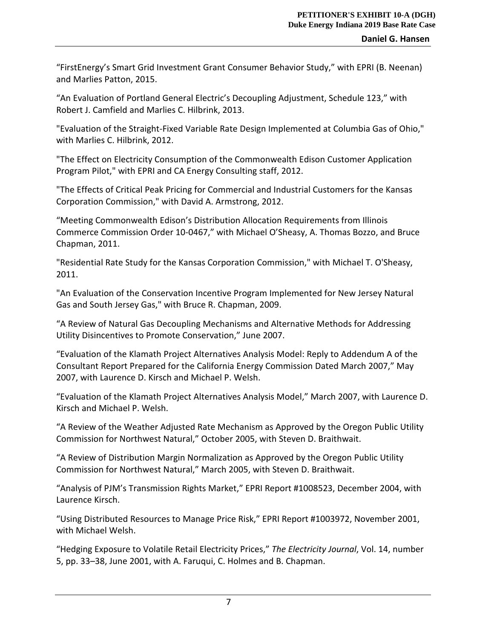"FirstEnergy's Smart Grid Investment Grant Consumer Behavior Study," with EPRI (B. Neenan) and Marlies Patton, 2015.

"An Evaluation of Portland General Electric's Decoupling Adjustment, Schedule 123," with Robert J. Camfield and Marlies C. Hilbrink, 2013.

"Evaluation of the Straight-Fixed Variable Rate Design Implemented at Columbia Gas of Ohio," with Marlies C. Hilbrink, 2012.

"The Effect on Electricity Consumption of the Commonwealth Edison Customer Application Program Pilot," with EPRI and CA Energy Consulting staff, 2012.

"The Effects of Critical Peak Pricing for Commercial and Industrial Customers for the Kansas Corporation Commission," with David A. Armstrong, 2012.

"Meeting Commonwealth Edison's Distribution Allocation Requirements from Illinois Commerce Commission Order 10-0467," with Michael O'Sheasy, A. Thomas Bozzo, and Bruce Chapman, 2011.

"Residential Rate Study for the Kansas Corporation Commission," with Michael T. O'Sheasy, 2011.

"An Evaluation of the Conservation Incentive Program Implemented for New Jersey Natural Gas and South Jersey Gas," with Bruce R. Chapman, 2009.

"A Review of Natural Gas Decoupling Mechanisms and Alternative Methods for Addressing Utility Disincentives to Promote Conservation," June 2007.

"Evaluation of the Klamath Project Alternatives Analysis Model: Reply to Addendum A of the Consultant Report Prepared for the California Energy Commission Dated March 2007," May 2007, with Laurence D. Kirsch and Michael P. Welsh.

"Evaluation of the Klamath Project Alternatives Analysis Model," March 2007, with Laurence D. Kirsch and Michael P. Welsh.

"A Review of the Weather Adjusted Rate Mechanism as Approved by the Oregon Public Utility Commission for Northwest Natural," October 2005, with Steven D. Braithwait.

"A Review of Distribution Margin Normalization as Approved by the Oregon Public Utility Commission for Northwest Natural," March 2005, with Steven D. Braithwait.

"Analysis of PJM's Transmission Rights Market," EPRI Report #1008523, December 2004, with Laurence Kirsch.

"Using Distributed Resources to Manage Price Risk," EPRI Report #1003972, November 2001, with Michael Welsh.

"Hedging Exposure to Volatile Retail Electricity Prices," *The Electricity Journal*, Vol. 14, number 5, pp. 33–38, June 2001, with A. Faruqui, C. Holmes and B. Chapman.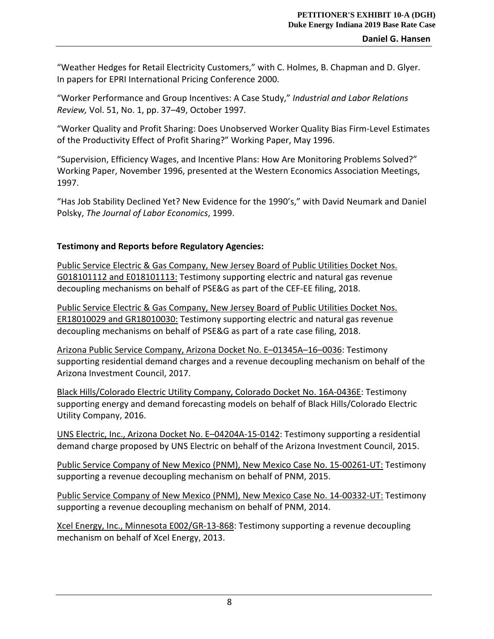"Weather Hedges for Retail Electricity Customers," with C. Holmes, B. Chapman and D. Glyer. In papers for EPRI International Pricing Conference 2000.

"Worker Performance and Group Incentives: A Case Study," *Industrial and Labor Relations Review,* Vol. 51, No. 1, pp. 37–49, October 1997.

"Worker Quality and Profit Sharing: Does Unobserved Worker Quality Bias Firm-Level Estimates of the Productivity Effect of Profit Sharing?" Working Paper, May 1996.

"Supervision, Efficiency Wages, and Incentive Plans: How Are Monitoring Problems Solved?" Working Paper, November 1996, presented at the Western Economics Association Meetings, 1997.

"Has Job Stability Declined Yet? New Evidence for the 1990's," with David Neumark and Daniel Polsky, *The Journal of Labor Economics*, 1999.

## **Testimony and Reports before Regulatory Agencies:**

Public Service Electric & Gas Company, New Jersey Board of Public Utilities Docket Nos. G018101112 and E018101113: Testimony supporting electric and natural gas revenue decoupling mechanisms on behalf of PSE&G as part of the CEF-EE filing, 2018.

Public Service Electric & Gas Company, New Jersey Board of Public Utilities Docket Nos. ER18010029 and GR18010030: Testimony supporting electric and natural gas revenue decoupling mechanisms on behalf of PSE&G as part of a rate case filing, 2018.

Arizona Public Service Company, Arizona Docket No. E–01345A–16–0036: Testimony supporting residential demand charges and a revenue decoupling mechanism on behalf of the Arizona Investment Council, 2017.

Black Hills/Colorado Electric Utility Company, Colorado Docket No. 16A-0436E: Testimony supporting energy and demand forecasting models on behalf of Black Hills/Colorado Electric Utility Company, 2016.

UNS Electric, Inc., Arizona Docket No. E–04204A-15-0142: Testimony supporting a residential demand charge proposed by UNS Electric on behalf of the Arizona Investment Council, 2015.

Public Service Company of New Mexico (PNM), New Mexico Case No. 15-00261-UT: Testimony supporting a revenue decoupling mechanism on behalf of PNM, 2015.

Public Service Company of New Mexico (PNM), New Mexico Case No. 14-00332-UT: Testimony supporting a revenue decoupling mechanism on behalf of PNM, 2014.

Xcel Energy, Inc., Minnesota E002/GR-13-868: Testimony supporting a revenue decoupling mechanism on behalf of Xcel Energy, 2013.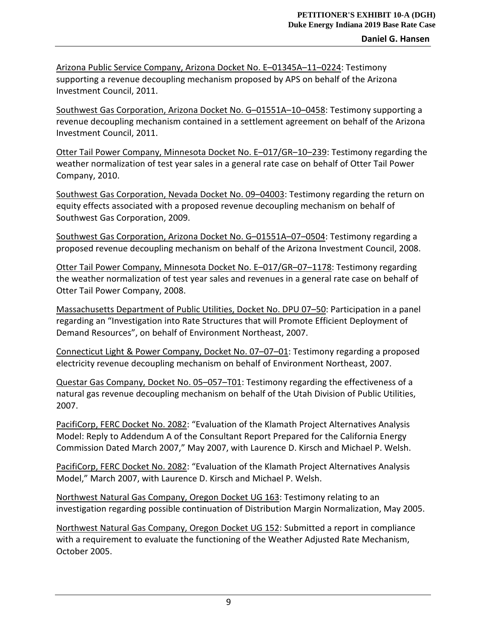Arizona Public Service Company, Arizona Docket No. E–01345A–11–0224: Testimony supporting a revenue decoupling mechanism proposed by APS on behalf of the Arizona Investment Council, 2011.

Southwest Gas Corporation, Arizona Docket No. G–01551A–10–0458: Testimony supporting a revenue decoupling mechanism contained in a settlement agreement on behalf of the Arizona Investment Council, 2011.

Otter Tail Power Company, Minnesota Docket No. E–017/GR–10–239: Testimony regarding the weather normalization of test year sales in a general rate case on behalf of Otter Tail Power Company, 2010.

Southwest Gas Corporation, Nevada Docket No. 09–04003: Testimony regarding the return on equity effects associated with a proposed revenue decoupling mechanism on behalf of Southwest Gas Corporation, 2009.

Southwest Gas Corporation, Arizona Docket No. G–01551A–07–0504: Testimony regarding a proposed revenue decoupling mechanism on behalf of the Arizona Investment Council, 2008.

Otter Tail Power Company, Minnesota Docket No. E–017/GR–07–1178: Testimony regarding the weather normalization of test year sales and revenues in a general rate case on behalf of Otter Tail Power Company, 2008.

Massachusetts Department of Public Utilities, Docket No. DPU 07–50: Participation in a panel regarding an "Investigation into Rate Structures that will Promote Efficient Deployment of Demand Resources", on behalf of Environment Northeast, 2007.

Connecticut Light & Power Company, Docket No. 07–07–01: Testimony regarding a proposed electricity revenue decoupling mechanism on behalf of Environment Northeast, 2007.

Questar Gas Company, Docket No. 05–057–T01: Testimony regarding the effectiveness of a natural gas revenue decoupling mechanism on behalf of the Utah Division of Public Utilities, 2007.

PacifiCorp, FERC Docket No. 2082: "Evaluation of the Klamath Project Alternatives Analysis Model: Reply to Addendum A of the Consultant Report Prepared for the California Energy Commission Dated March 2007," May 2007, with Laurence D. Kirsch and Michael P. Welsh.

PacifiCorp, FERC Docket No. 2082: "Evaluation of the Klamath Project Alternatives Analysis Model," March 2007, with Laurence D. Kirsch and Michael P. Welsh.

Northwest Natural Gas Company, Oregon Docket UG 163: Testimony relating to an investigation regarding possible continuation of Distribution Margin Normalization, May 2005.

Northwest Natural Gas Company, Oregon Docket UG 152: Submitted a report in compliance with a requirement to evaluate the functioning of the Weather Adjusted Rate Mechanism, October 2005.